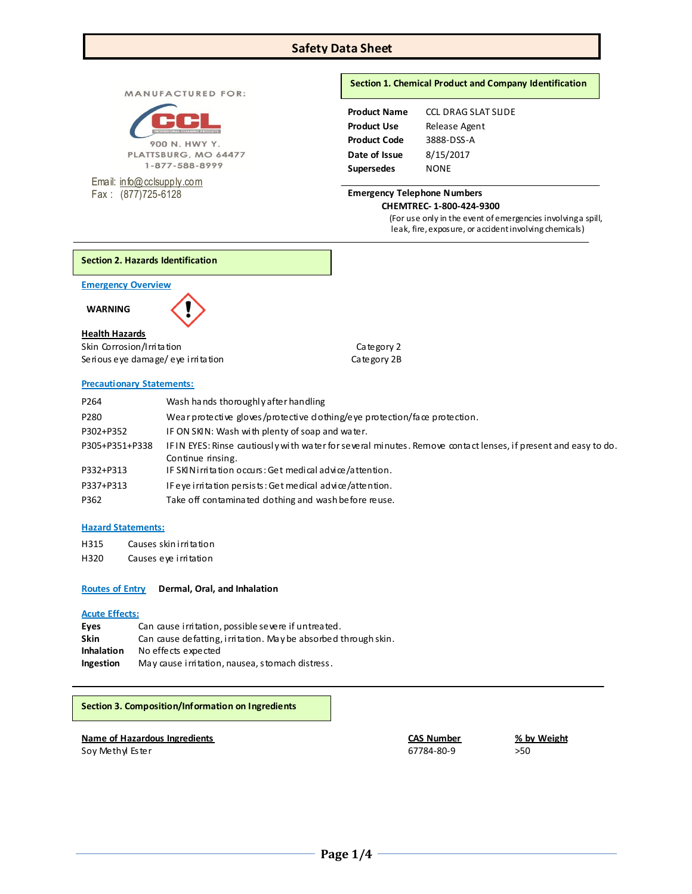# **Safety Data Sheet**

MANUFACTURED FOR:



PLATTSBURG, MO 64477 1-877-588-8999

Email: [info@cclsupply.com](mailto:info@cclsupply.com) Fax : (877)725-6128

# **Section 1. Chemical Product and Company Identification**

| <b>Product Name</b> | <b>CCL DRAG SLAT SUDE</b> |
|---------------------|---------------------------|
| <b>Product Use</b>  | Release Agent             |
| <b>Product Code</b> | 3888-DSS-A                |
| Date of Issue       | 8/15/2017                 |
| <b>Supersedes</b>   | NONE                      |

#### **Emergency Telephone Numbers CHEMTREC- 1-800-424-9300**

(For use only in the event of emergencies involving a spill, leak, fire, exposure, or accident involving chemicals)

**Section 2. Hazards Identification**

**Emergency Overview** 

 **WARNING** 

### **Health Hazards**

Skin Corrosion/Irritation Category 2 Serious eye damage/ eye irritation can be category 2B

### **Precautionary Statements:**

P264 Wash hands thoroughly after handling P280 Wear protective gloves/protective dothing/eye protection/face protection. P302+P352 IF ON SKIN: Wash with plenty of soap and water. P305+P351+P338 IF IN EYES: Rinse cautiously with water for several minutes. Remove contact lenses, if present and easy to do. Continue rinsing. P332+P313 IF SKIN irritation occurs: Get medical advice/attention. P337+P313 IF eye irritation persists: Get medical advice/attention. P362 Take off contaminated dothing and wash before reuse.

### **Hazard Statements:**

- H315 Causes skin irritation
- H320 Causes eye irritation

**Routes of Entry Dermal, Oral, and Inhalation** 

### **Acute Effects:**

| Eyes              | Can cause irritation, possible severe if untreated.             |
|-------------------|-----------------------------------------------------------------|
| <b>Skin</b>       | Can cause defatting, i rritation. May be absorbed through skin. |
| <b>Inhalation</b> | No effects expected                                             |
| Ingestion         | May cause irritation, nausea, stomach distress.                 |

# **Section 3. Composition/Information on Ingredients**

### **Name of Hazardous Ingredients CAS Number % by Weight**

Soy Methyl Ester **67784-80-9** > 50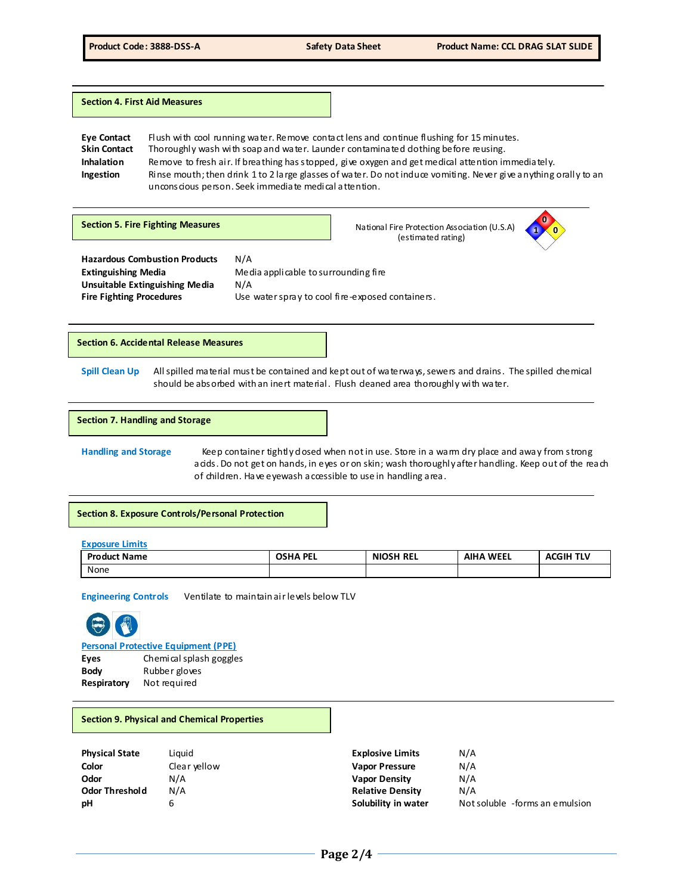**Section 4. First Aid Measures**

**Eye Contact** Flush with cool running water. Remove contact lens and continue flushing for 15 minutes.<br>Skin Contact Thoroughly wash with soap and water. Launder contaminated dothing before reusing. Thoroughly wash with soap and water. Launder contaminated dothing before reusing. **Inhalation** Remove to fresh air. If breathing has stopped, give oxygen and get medical attention immediately. **Ingestion** Rinse mouth; then drink 1 to 2 large glasses of water. Do not induce vomiting. Never give anything orally to an unconscious person. Seek immediate medical attention.

**Section 5. Fire Fighting Measures National Fire Protection Association (U.S.A)** (estimated rating)



**Hazardous Combustion Products** N/A **Unsuitable Extinguishing Media** N/A

**Extinguishing Media** Media applicable to surrounding fire **Fire Fighting Procedures** Use water spray to cool fire-exposed containers.

**Section 6. Accidental Release Measures**

Spill Clean Up All spilled material must be contained and kept out of waterways, sewers and drains. The spilled chemical should be absorbed with an inert material. Flush deaned area thoroughly with water.

#### **Section 7. Handling and Storage**

Handling and Storage **Keep container tightly dosed when not in use**. Store in a warm dry place and away from strong acids. Do not get on hands, in eyes or on skin; wash thoroughly after handling. Keep out of the reach of children. Have eyewash accessible to use in handling area.

**Section 8. Exposure Controls/Personal Protection**

**Exposure Limits**

| <b>Product Name</b> | <b>OSHA PEL</b> | <b>NIOSH REL</b> | <b>AIHA WEEL</b> | <b>ACGIH TLV</b> |
|---------------------|-----------------|------------------|------------------|------------------|
| None                |                 |                  |                  |                  |

**Engineering Controls** Ventilate to maintain air levels below TLV



**Personal Protective Equipment (PPE)**

| Eyes        | Chemical splash goggles |
|-------------|-------------------------|
| Body        | Rubber gloves           |
| Respiratory | Not required            |

### **Section 9. Physical and Chemical Properties**

| <b>Physical State</b> |
|-----------------------|
| Color                 |
| Odor                  |
| <b>Odor Threshold</b> |
| рH                    |

**Physical State** Liquid **Explosive Limits** N/A **Color** Clear yellow **Vapor Pressure** N/A **Odor** N/A **Vapor Density** N/A **Odor Threshold** N/A **Relative Density** N/A **ph** 6 **Solubility in water** Not soluble -forms an emulsion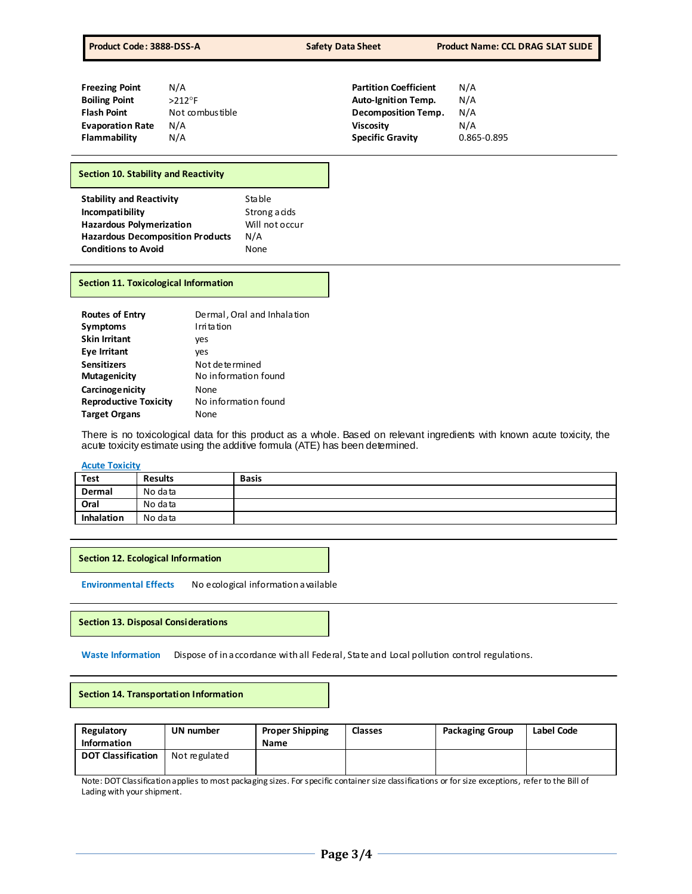| <b>Freezing Point</b>   | N/A              | <b>Partition Coefficient</b> | N/A         |
|-------------------------|------------------|------------------------------|-------------|
| <b>Boiling Point</b>    | $>212$ °F        | <b>Auto-Ignition Temp.</b>   | N/A         |
| <b>Flash Point</b>      | Not combus tible | <b>Decomposition Temp.</b>   | N/A         |
| <b>Evaporation Rate</b> | N/A              | <b>Viscosity</b>             | N/A         |
| <b>Flammability</b>     | N/A              | <b>Specific Gravity</b>      | 0.865-0.895 |

# **Section 10. Stability and Reactivity**

| <b>Stability and Reactivity</b>         | Stable         |
|-----------------------------------------|----------------|
| Incompatibility                         | Strong a cids  |
| <b>Hazardous Polymerization</b>         | Will not occur |
| <b>Hazardous Decomposition Products</b> | N/A            |
| <b>Conditions to Avoid</b>              | None           |

#### **Section 11. Toxicological Information**

| <b>Routes of Entry</b><br><b>Symptoms</b> | Dermal, Oral and Inhalation<br>I rri ta tion |
|-------------------------------------------|----------------------------------------------|
| <b>Skin Irritant</b>                      | ves                                          |
| <b>Eye Irritant</b>                       | ves                                          |
| <b>Sensitizers</b>                        | Not de te rmined                             |
| <b>Mutagenicity</b>                       | No information found                         |
| Carcinoge nicity                          | None                                         |
| <b>Reproductive Toxicity</b>              | No information found                         |
| <b>Target Organs</b>                      | None                                         |

There is no toxicological data for this product as a whole. Based on relevant ingredients with known acute toxicity, the acute toxicity estimate using the additive formula (ATE) has been determined.

### **Acute Toxicity**

| Test       | <b>Results</b> | <b>Basis</b> |
|------------|----------------|--------------|
| Dermal     | No data        |              |
| Oral       | No data        |              |
| Inhalation | No data        |              |

**Section 12. Ecological Information**

**Environmental Effects** No ecological information available

#### **Section 13. Disposal Considerations**

Waste Information Dispose of in accordance with all Federal, State and Local pollution control regulations.

| Regulatory                | UN number     | <b>Proper Shipping</b> | <b>Classes</b> | <b>Packaging Group</b> | Label Code |
|---------------------------|---------------|------------------------|----------------|------------------------|------------|
| Information               |               | Name                   |                |                        |            |
| <b>DOT Classification</b> | Not regulated |                        |                |                        |            |
|                           |               |                        |                |                        |            |

Note: DOT Classification applies to most packaging sizes. For specific container size classifications or for size exceptions, refer to the Bill of Lading with your shipment.